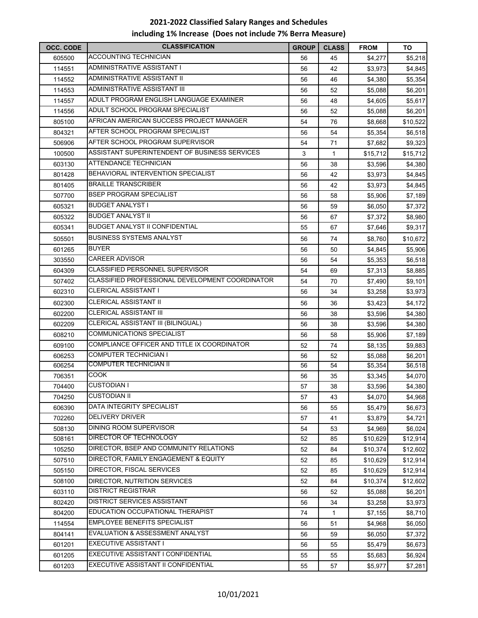## **‐2022 Classified Salary Ranges and Schedules including 1% Increase (Does not include 7% Berra Measure)**

| OCC. CODE | <b>CLASSIFICATION</b>                           | <b>GROUP</b> | <b>CLASS</b> | <b>FROM</b> | TO       |
|-----------|-------------------------------------------------|--------------|--------------|-------------|----------|
| 605500    | ACCOUNTING TECHNICIAN                           | 56           | 45           | \$4,277     | \$5,218  |
| 114551    | ADMINISTRATIVE ASSISTANT I                      | 56           | 42           | \$3,973     | \$4,845  |
| 114552    | ADMINISTRATIVE ASSISTANT II                     | 56           | 46           | \$4,380     | \$5,354  |
| 114553    | ADMINISTRATIVE ASSISTANT III                    | 56           | 52           | \$5,088     | \$6,201  |
| 114557    | ADULT PROGRAM ENGLISH LANGUAGE EXAMINER         | 56           | 48           | \$4,605     | \$5,617  |
| 114556    | ADULT SCHOOL PROGRAM SPECIALIST                 | 56           | 52           | \$5,088     | \$6,201  |
| 805100    | AFRICAN AMERICAN SUCCESS PROJECT MANAGER        | 54           | 76           | \$8,668     | \$10,522 |
| 804321    | AFTER SCHOOL PROGRAM SPECIALIST                 | 56           | 54           | \$5,354     | \$6,518  |
| 506906    | AFTER SCHOOL PROGRAM SUPERVISOR                 | 54           | 71           | \$7,682     | \$9,323  |
| 100500    | ASSISTANT SUPERINTENDENT OF BUSINESS SERVICES   | 3            | $\mathbf{1}$ | \$15,712    | \$15,712 |
| 603130    | ATTENDANCE TECHNICIAN                           | 56           | 38           | \$3,596     | \$4,380  |
| 801428    | BEHAVIORAL INTERVENTION SPECIALIST              | 56           | 42           | \$3,973     | \$4,845  |
| 801405    | <b>BRAILLE TRANSCRIBER</b>                      | 56           | 42           | \$3,973     | \$4,845  |
| 507700    | <b>BSEP PROGRAM SPECIALIST</b>                  | 56           | 58           | \$5,906     | \$7,189  |
| 605321    | <b>BUDGET ANALYST I</b>                         | 56           | 59           | \$6,050     | \$7,372  |
| 605322    | <b>BUDGET ANALYST II</b>                        | 56           | 67           | \$7,372     | \$8,980  |
| 605341    | <b>BUDGET ANALYST II CONFIDENTIAL</b>           | 55           | 67           | \$7,646     | \$9,317  |
| 505501    | <b>BUSINESS SYSTEMS ANALYST</b>                 | 56           | 74           | \$8,760     | \$10,672 |
| 601265    | <b>BUYER</b>                                    | 56           | 50           | \$4,845     | \$5,906  |
| 303550    | <b>CAREER ADVISOR</b>                           | 56           | 54           | \$5,353     | \$6,518  |
| 604309    | CLASSIFIED PERSONNEL SUPERVISOR                 | 54           | 69           | \$7,313     | \$8,885  |
| 507402    | CLASSIFIED PROFESSIONAL DEVELOPMENT COORDINATOR | 54           | 70           | \$7,490     | \$9,101  |
| 602310    | <b>CLERICAL ASSISTANT I</b>                     | 56           | 34           | \$3,258     | \$3,973  |
| 602300    | <b>CLERICAL ASSISTANT II</b>                    | 56           | 36           | \$3,423     | \$4,172  |
| 602200    | <b>CLERICAL ASSISTANT III</b>                   | 56           | 38           | \$3,596     | \$4,380  |
| 602209    | CLERICAL ASSISTANT III (BILINGUAL)              | 56           | 38           | \$3,596     | \$4,380  |
| 608210    | <b>COMMUNICATIONS SPECIALIST</b>                | 56           | 58           | \$5,906     | \$7,189  |
| 609100    | COMPLIANCE OFFICER AND TITLE IX COORDINATOR     | 52           | 74           | \$8,135     | \$9,883  |
| 606253    | <b>COMPUTER TECHNICIAN I</b>                    | 56           | 52           | \$5,088     | \$6,201  |
| 606254    | <b>COMPUTER TECHNICIAN II</b>                   | 56           | 54           | \$5,354     | \$6,518  |
| 706351    | <b>COOK</b>                                     | 56           | 35           | \$3,345     | \$4,070  |
| 704400    | <b>CUSTODIAN I</b>                              | 57           | 38           | \$3,596     | \$4,380  |
| 704250    | <b>CUSTODIAN II</b>                             | 57           | 43           | \$4,070     | \$4,968  |
| 606390    | DATA INTEGRITY SPECIALIST                       | 56           | 55           | \$5,479     | \$6,673  |
| 702260    | <b>DELIVERY DRIVER</b>                          | 57           | 41           | \$3,879     | \$4,721  |
| 508130    | DINING ROOM SUPERVISOR                          | 54           | 53           | \$4,969     | \$6,024  |
| 508161    | DIRECTOR OF TECHNOLOGY                          | 52           | 85           | \$10,629    | \$12,914 |
| 105250    | DIRECTOR, BSEP AND COMMUNITY RELATIONS          | 52           | 84           | \$10,374    | \$12,602 |
| 507510    | DIRECTOR, FAMILY ENGAGEMENT & EQUITY            | 52           | 85           | \$10,629    | \$12,914 |
| 505150    | DIRECTOR, FISCAL SERVICES                       | 52           | 85           | \$10,629    | \$12,914 |
| 508100    | DIRECTOR, NUTRITION SERVICES                    | 52           | 84           | \$10,374    | \$12,602 |
| 603110    | <b>DISTRICT REGISTRAR</b>                       | 56           | 52           | \$5,088     | \$6,201  |
| 802420    | DISTRICT SERVICES ASSISTANT                     | 56           | 34           | \$3,258     | \$3,973  |
| 804200    | EDUCATION OCCUPATIONAL THERAPIST                | 74           | 1            | \$7,155     | \$8,710  |
| 114554    | EMPLOYEE BENEFITS SPECIALIST                    | 56           | 51           | \$4,968     | \$6,050  |
| 804141    | EVALUATION & ASSESSMENT ANALYST                 | 56           | 59           | \$6,050     | \$7,372  |
| 601201    | <b>EXECUTIVE ASSISTANT I</b>                    | 56           | 55           | \$5,479     | \$6,673  |
| 601205    | EXECUTIVE ASSISTANT I CONFIDENTIAL              | 55           | 55           | \$5,683     | \$6,924  |
| 601203    | EXECUTIVE ASSISTANT II CONFIDENTIAL             | 55           | 57           | \$5,977     | \$7,281  |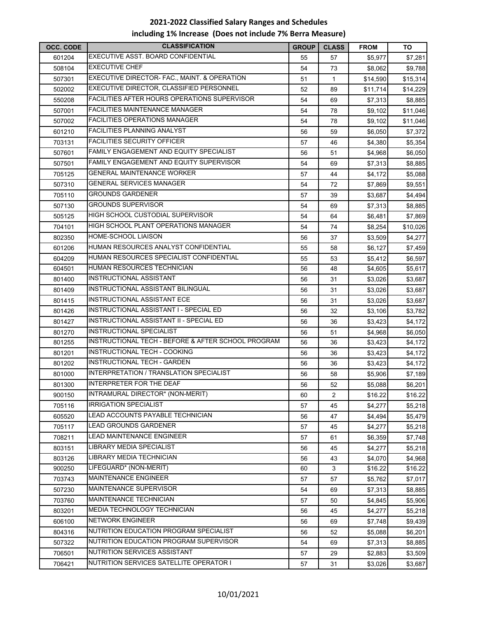## **‐2022 Classified Salary Ranges and Schedules including 1% Increase (Does not include 7% Berra Measure)**

| OCC. CODE | <b>CLASSIFICATION</b>                               | <b>GROUP</b> | <b>CLASS</b> | <b>FROM</b> | TO       |
|-----------|-----------------------------------------------------|--------------|--------------|-------------|----------|
| 601204    | EXECUTIVE ASST. BOARD CONFIDENTIAL                  | 55           | 57           | \$5,977     | \$7,281  |
| 508104    | <b>EXECUTIVE CHEF</b>                               | 54           | 73           | \$8,062     | \$9,788  |
| 507301    | EXECUTIVE DIRECTOR- FAC., MAINT. & OPERATION        | 51           | $\mathbf{1}$ | \$14,590    | \$15,314 |
| 502002    | EXECUTIVE DIRECTOR, CLASSIFIED PERSONNEL            | 52           | 89           | \$11,714    | \$14,229 |
| 550208    | <b>FACILITIES AFTER HOURS OPERATIONS SUPERVISOR</b> | 54           | 69           | \$7,313     | \$8,885  |
| 507001    | <b>FACILITIES MAINTENANCE MANAGER</b>               | 54           | 78           | \$9,102     | \$11,046 |
| 507002    | <b>FACILITIES OPERATIONS MANAGER</b>                | 54           | 78           | \$9,102     | \$11,046 |
| 601210    | <b>FACILITIES PLANNING ANALYST</b>                  | 56           | 59           | \$6,050     | \$7,372  |
| 703131    | <b>FACILITIES SECURITY OFFICER</b>                  | 57           | 46           | \$4,380     | \$5,354  |
| 507601    | FAMILY ENGAGEMENT AND EQUITY SPECIALIST             | 56           | 51           | \$4,968     | \$6,050  |
| 507501    | FAMILY ENGAGEMENT AND EQUITY SUPERVISOR             | 54           | 69           | \$7,313     | \$8,885  |
| 705125    | GENERAL MAINTENANCE WORKER                          | 57           | 44           | \$4,172     | \$5,088  |
| 507310    | <b>GENERAL SERVICES MANAGER</b>                     | 54           | 72           | \$7,869     | \$9,551  |
| 705110    | <b>GROUNDS GARDENER</b>                             | 57           | 39           | \$3,687     | \$4,494  |
| 507130    | GROUNDS SUPERVISOR                                  | 54           | 69           | \$7,313     | \$8,885  |
| 505125    | HIGH SCHOOL CUSTODIAL SUPERVISOR                    | 54           | 64           | \$6,481     | \$7,869  |
| 704101    | HIGH SCHOOL PLANT OPERATIONS MANAGER                | 54           | 74           | \$8,254     | \$10,026 |
| 802350    | HOME-SCHOOL LIAISON                                 | 56           | 37           | \$3,509     | \$4,277  |
| 601206    | HUMAN RESOURCES ANALYST CONFIDENTIAL                | 55           | 58           | \$6,127     | \$7,459  |
| 604209    | HUMAN RESOURCES SPECIALIST CONFIDENTIAL             | 55           | 53           | \$5,412     | \$6,597  |
| 604501    | HUMAN RESOURCES TECHNICIAN                          | 56           | 48           | \$4,605     | \$5,617  |
| 801400    | <b>INSTRUCTIONAL ASSISTANT</b>                      | 56           | 31           | \$3,026     | \$3,687  |
| 801409    | INSTRUCTIONAL ASSISTANT BILINGUAL                   | 56           | 31           | \$3,026     | \$3,687  |
| 801415    | INSTRUCTIONAL ASSISTANT ECE                         | 56           | 31           | \$3,026     | \$3,687  |
| 801426    | INSTRUCTIONAL ASSISTANT I - SPECIAL ED              | 56           | 32           | \$3,106     | \$3,782  |
| 801427    | INSTRUCTIONAL ASSISTANT II - SPECIAL ED             | 56           | 36           | \$3,423     | \$4,172  |
| 801270    | INSTRUCTIONAL SPECIALIST                            | 56           | 51           | \$4,968     | \$6,050  |
| 801255    | INSTRUCTIONAL TECH - BEFORE & AFTER SCHOOL PROGRAM  | 56           | 36           | \$3,423     | \$4,172  |
| 801201    | INSTRUCTIONAL TECH - COOKING                        | 56           | 36           | \$3,423     | \$4,172  |
| 801202    | INSTRUCTIONAL TECH - GARDEN                         | 56           | 36           | \$3,423     | \$4,172  |
| 801000    | INTERPRETATION / TRANSLATION SPECIALIST             | 56           | 58           | \$5,906     | \$7,189  |
| 801300    | <b>INTERPRETER FOR THE DEAF</b>                     | 56           | 52           | \$5,088     | \$6,201  |
| 900150    | INTRAMURAL DIRECTOR* (NON-MERIT)                    | 60           | 2            | \$16.22     | \$16.22  |
| 705116    | <b>IRRIGATION SPECIALIST</b>                        | 57           | 45           | \$4,277     | \$5,218  |
| 605520    | LEAD ACCOUNTS PAYABLE TECHNICIAN                    | 56           | 47           | \$4,494     | \$5,479  |
| 705117    | <b>LEAD GROUNDS GARDENER</b>                        | 57           | 45           | \$4,277     | \$5,218  |
| 708211    | <b>LEAD MAINTENANCE ENGINEER</b>                    | 57           | 61           | \$6,359     | \$7,748  |
| 803151    | <b>LIBRARY MEDIA SPECIALIST</b>                     | 56           | 45           | \$4,277     | \$5,218  |
| 803126    | LIBRARY MEDIA TECHNICIAN                            | 56           | 43           | \$4,070     | \$4,968  |
| 900250    | LIFEGUARD* (NON-MERIT)                              | 60           | 3            | \$16.22     | \$16.22  |
| 703743    | MAINTENANCE ENGINEER                                | 57           | 57           | \$5,762     | \$7,017  |
| 507230    | MAINTENANCE SUPERVISOR                              | 54           | 69           | \$7,313     | \$8,885  |
| 703760    | <b>MAINTENANCE TECHNICIAN</b>                       | 57           | 50           | \$4,845     | \$5,906  |
| 803201    | MEDIA TECHNOLOGY TECHNICIAN                         | 56           | 45           | \$4,277     | \$5,218  |
| 606100    | <b>NETWORK ENGINEER</b>                             | 56           | 69           | \$7,748     | \$9,439  |
| 804316    | NUTRITION EDUCATION PROGRAM SPECIALIST              | 56           | 52           | \$5,088     | \$6,201  |
| 507322    | NUTRITION EDUCATION PROGRAM SUPERVISOR              | 54           | 69           | \$7,313     | \$8,885  |
| 706501    | NUTRITION SERVICES ASSISTANT                        | 57           | 29           | \$2,883     | \$3,509  |
| 706421    | NUTRITION SERVICES SATELLITE OPERATOR I             | 57           | 31           | \$3,026     | \$3,687  |